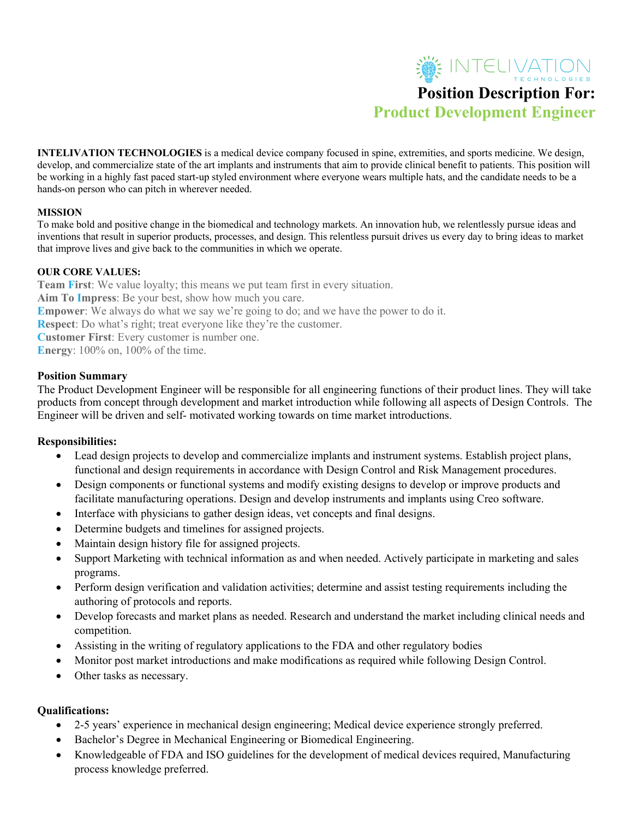# SE INTELIVATION **Position Description For: Product Development Engineer**

**INTELIVATION TECHNOLOGIES** is a medical device company focused in spine, extremities, and sports medicine. We design, develop, and commercialize state of the art implants and instruments that aim to provide clinical benefit to patients. This position will be working in a highly fast paced start-up styled environment where everyone wears multiple hats, and the candidate needs to be a hands-on person who can pitch in wherever needed.

### **MISSION**

To make bold and positive change in the biomedical and technology markets. An innovation hub, we relentlessly pursue ideas and inventions that result in superior products, processes, and design. This relentless pursuit drives us every day to bring ideas to market that improve lives and give back to the communities in which we operate.

#### **OUR CORE VALUES:**

**Team First**: We value loyalty; this means we put team first in every situation. **Aim To Impress**: Be your best, show how much you care. **Empower**: We always do what we say we're going to do; and we have the power to do it. **Respect**: Do what's right; treat everyone like they're the customer. **Customer First**: Every customer is number one. **Energy**: 100% on, 100% of the time.

### **Position Summary**

The Product Development Engineer will be responsible for all engineering functions of their product lines. They will take products from concept through development and market introduction while following all aspects of Design Controls. The Engineer will be driven and self- motivated working towards on time market introductions.

## **Responsibilities:**

- Lead design projects to develop and commercialize implants and instrument systems. Establish project plans, functional and design requirements in accordance with Design Control and Risk Management procedures.
- Design components or functional systems and modify existing designs to develop or improve products and facilitate manufacturing operations. Design and develop instruments and implants using Creo software.
- Interface with physicians to gather design ideas, vet concepts and final designs.
- Determine budgets and timelines for assigned projects.
- Maintain design history file for assigned projects.
- Support Marketing with technical information as and when needed. Actively participate in marketing and sales programs.
- Perform design verification and validation activities; determine and assist testing requirements including the authoring of protocols and reports.
- Develop forecasts and market plans as needed. Research and understand the market including clinical needs and competition.
- Assisting in the writing of regulatory applications to the FDA and other regulatory bodies
- Monitor post market introductions and make modifications as required while following Design Control.
- Other tasks as necessary.

## **Qualifications:**

- 2-5 years' experience in mechanical design engineering; Medical device experience strongly preferred.
- Bachelor's Degree in Mechanical Engineering or Biomedical Engineering.
- Knowledgeable of FDA and ISO guidelines for the development of medical devices required, Manufacturing process knowledge preferred.